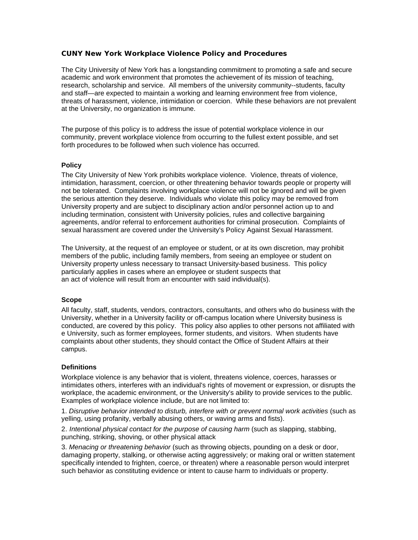# **CUNY New York Workplace Violence Policy and Procedures**

The City University of New York has a longstanding commitment to promoting a safe and secure academic and work environment that promotes the achievement of its mission of teaching, research, scholarship and service. All members of the university community--students, faculty and staff—are expected to maintain a working and learning environment free from violence, threats of harassment, violence, intimidation or coercion. While these behaviors are not prevalent at the University, no organization is immune.

The purpose of this policy is to address the issue of potential workplace violence in our community, prevent workplace violence from occurring to the fullest extent possible, and set forth procedures to be followed when such violence has occurred.

# **Policy**

The City University of New York prohibits workplace violence. Violence, threats of violence, intimidation, harassment, coercion, or other threatening behavior towards people or property will not be tolerated. Complaints involving workplace violence will not be ignored and will be given the serious attention they deserve. Individuals who violate this policy may be removed from University property and are subject to disciplinary action and/or personnel action up to and including termination, consistent with University policies, rules and collective bargaining agreements, and/or referral to enforcement authorities for criminal prosecution. Complaints of sexual harassment are covered under the University's Policy Against Sexual Harassment.

The University, at the request of an employee or student, or at its own discretion, may prohibit members of the public, including family members, from seeing an employee or student on University property unless necessary to transact University-based business. This policy particularly applies in cases where an employee or student suspects that an act of violence will result from an encounter with said individual(s).

### **Scope**

All faculty, staff, students, vendors, contractors, consultants, and others who do business with the University, whether in a University facility or off-campus location where University business is conducted, are covered by this policy. This policy also applies to other persons not affiliated with e University, such as former employees, former students, and visitors. When students have complaints about other students, they should contact the Office of Student Affairs at their campus.

### **Definitions**

Workplace violence is any behavior that is violent, threatens violence, coerces, harasses or intimidates others, interferes with an individual's rights of movement or expression, or disrupts the workplace, the academic environment, or the University's ability to provide services to the public. Examples of workplace violence include, but are not limited to:

1. *Disruptive behavior intended to disturb, interfere with or prevent normal work activities* (such as yelling, using profanity, verbally abusing others, or waving arms and fists).

2. *Intentional physical contact for the purpose of causing harm* (such as slapping, stabbing, punching, striking, shoving, or other physical attack

3. *Menacing or threatening behavior* (such as throwing objects, pounding on a desk or door, damaging property, stalking, or otherwise acting aggressively; or making oral or written statement specifically intended to frighten, coerce, or threaten) where a reasonable person would interpret such behavior as constituting evidence or intent to cause harm to individuals or property.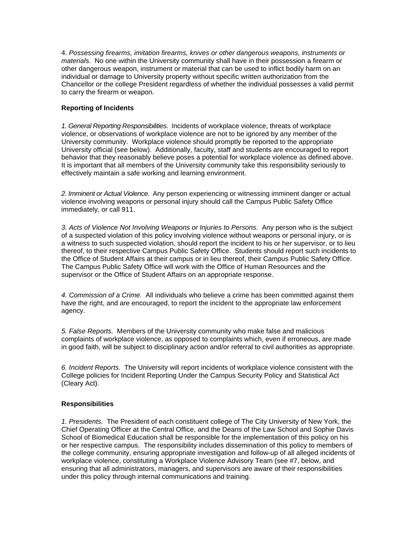4. *Possessing firearms, imitation firearms, knives or other dangerous weapons, instruments or material*s. No one within the University community shall have in their possession a firearm or other dangerous weapon, instrument or material that can be used to inflict bodily harm on an individual or damage to University property without specific written authorization from the Chancellor or the college President regardless of whether the individual possesses a valid permit to carry the firearm or weapon.

## **Reporting of Incidents**

*1. General Reporting Responsibilities.* Incidents of workplace violence, threats of workplace violence, or observations of workplace violence are not to be ignored by any member of the University community. Workplace violence should promptly be reported to the appropriate University official (see below). Additionally, faculty, staff and students are encouraged to report behavior that they reasonably believe poses a potential for workplace violence as defined above. It is important that all members of the University community take this responsibility seriously to effectively maintain a safe working and learning environment.

*2. Imminent or Actual Violence.* Any person experiencing or witnessing imminent danger or actual violence involving weapons or personal injury should call the Campus Public Safety Office immediately, or call 911.

*3. Acts of Violence Not Involving Weapons or Injuries to Persons.* Any person who is the subject of a suspected violation of this policy involving violence without weapons or personal injury, or is a witness to such suspected violation, should report the incident to his or her supervisor, or to lieu thereof, to their respective Campus Public Safety Office. Students should report such incidents to the Office of Student Affairs at their campus or in lieu thereof, their Campus Public Safety Office. The Campus Public Safety Office will work with the Office of Human Resources and the supervisor or the Office of Student Affairs on an appropriate response.

*4. Commission of a Crime.* All individuals who believe a crime has been committed against them have the right, and are encouraged, to report the incident to the appropriate law enforcement agency.

*5. False Reports.* Members of the University community who make false and malicious complaints of workplace violence, as opposed to complaints which, even if erroneous, are made in good faith, will be subject to disciplinary action and/or referral to civil authorities as appropriate.

*6. Incident Reports.* The University will report incidents of workplace violence consistent with the College policies for Incident Reporting Under the Campus Security Policy and Statistical Act (Cleary Act).

# **Responsibilities**

*1. Presidents.* The President of each constituent college of The City University of New York, the Chief Operating Officer at the Central Office, and the Deans of the Law School and Sophie Davis School of Biomedical Education shall be responsible for the implementation of this policy on his or her respective campus. The responsibility includes dissemination of this policy to members of the college community, ensuring appropriate investigation and follow-up of all alleged incidents of workplace violence, constituting a Workplace Violence Advisory Team (see #7, below, and ensuring that all administrators, managers, and supervisors are aware of their responsibilities under this policy through internal communications and training.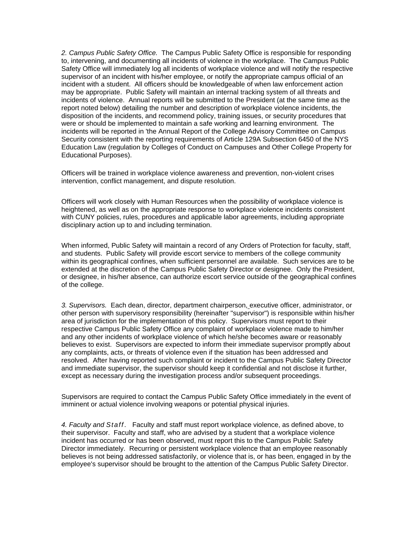*2. Campus Public Safety Office.* The Campus Public Safety Office is responsible for responding to, intervening, and documenting all incidents of violence in the workplace. The Campus Public Safety Office will immediately log all incidents of workplace violence and will notify the respective supervisor of an incident with his/her employee, or notify the appropriate campus official of an incident with a student. All officers should be knowledgeable of when law enforcement action may be appropriate. Public Safety will maintain an internal tracking system of all threats and incidents of violence. Annual reports will be submitted to the President (at the same time as the report noted below) detailing the number and description of workplace violence incidents, the disposition of the incidents, and recommend policy, training issues, or security procedures that were or should be implemented to maintain a safe working and learning environment. The incidents will be reported in 'the Annual Report of the College Advisory Committee on Campus Security consistent with the reporting requirements of Article 129A Subsection 6450 of the NYS Education Law (regulation by Colleges of Conduct on Campuses and Other College Property for Educational Purposes).

Officers will be trained in workplace violence awareness and prevention, non-violent crises intervention, conflict management, and dispute resolution.

Officers will work closely with Human Resources when the possibility of workplace violence is heightened, as well as on the appropriate response to workplace violence incidents consistent with CUNY policies, rules, procedures and applicable labor agreements, including appropriate disciplinary action up to and including termination.

When informed, Public Safety will maintain a record of any Orders of Protection for faculty, staff, and students. Public Safety will provide escort service to members of the college community within its geographical confines, when sufficient personnel are available. Such services are to be extended at the discretion of the Campus Public Safety Director or designee. Only the President, or designee, in his/her absence, can authorize escort service outside of the geographical confines of the college.

*3. Supervisors.* Each dean, director, department chairperson, executive officer, administrator, or other person with supervisory responsibility (hereinafter "supervisor") is responsible within his/her area of jurisdiction for the implementation of this policy. Supervisors must report to their respective Campus Public Safety Office any complaint of workplace violence made to him/her and any other incidents of workplace violence of which he/she becomes aware or reasonably believes to exist. Supervisors are expected to inform their immediate supervisor promptly about any complaints, acts, or threats of violence even if the situation has been addressed and resolved. After having reported such complaint or incident to the Campus Public Safety Director and immediate supervisor, the supervisor should keep it confidential and not disclose it further, except as necessary during the investigation process and/or subsequent proceedings.

Supervisors are required to contact the Campus Public Safety Office immediately in the event of imminent or actual violence involving weapons or potential physical injuries.

*4. Faculty and Staff*. Faculty and staff must report workplace violence, as defined above, to their supervisor. Faculty and staff, who are advised by a student that a workplace violence incident has occurred or has been observed, must report this to the Campus Public Safety Director immediately. Recurring or persistent workplace violence that an employee reasonably believes is not being addressed satisfactorily, or violence that is, or has been, engaged in by the employee's supervisor should be brought to the attention of the Campus Public Safety Director.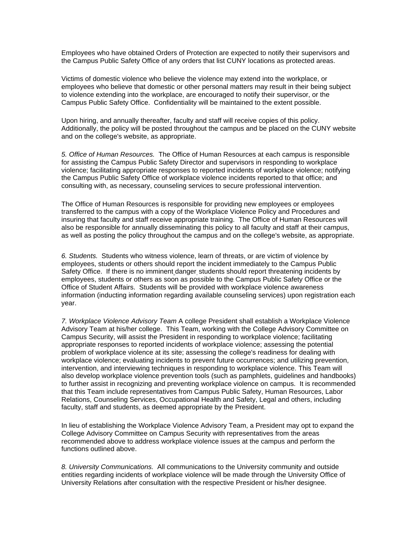Employees who have obtained Orders of Protection are expected to notify their supervisors and the Campus Public Safety Office of any orders that list CUNY locations as protected areas.

Victims of domestic violence who believe the violence may extend into the workplace, or employees who believe that domestic or other personal matters may result in their being subject to violence extending into the workplace, are encouraged to notify their supervisor, or the Campus Public Safety Office. Confidentiality will be maintained to the extent possible.

Upon hiring, and annually thereafter, faculty and staff will receive copies of this policy. Additionally, the policy will be posted throughout the campus and be placed on the CUNY website and on the college's website, as appropriate.

*5. Office of Human Resources.* The Office of Human Resources at each campus is responsible for assisting the Campus Public Safety Director and supervisors in responding to workplace violence; facilitating appropriate responses to reported incidents of workplace violence; notifying the Campus Public Safety Office of workplace violence incidents reported to that office; and consulting with, as necessary, counseling services to secure professional intervention.

The Office of Human Resources is responsible for providing new employees or employees transferred to the campus with a copy of the Workplace Violence Policy and Procedures and insuring that faculty and staff receive appropriate training. The Office of Human Resources will also be responsible for annually disseminating this policy to all faculty and staff at their campus, as well as posting the policy throughout the campus and on the college's website, as appropriate.

*6. Students.* Students who witness violence, learn of threats, or are victim of violence by employees, students or others should report the incident immediately to the Campus Public Safety Office. If there is no imminent danger students should report threatening incidents by employees, students or others as soon as possible to the Campus Public Safety Office or the Office of Student Affairs. Students will be provided with workplace violence awareness information (inducting information regarding available counseling services) upon registration each year.

*7. Workplace Violence Advisory Team* A college President shall establish a Workplace Violence Advisory Team at his/her college. This Team, working with the College Advisory Committee on Campus Security, will assist the President in responding to workplace violence; facilitating appropriate responses to reported incidents of workplace violence; assessing the potential problem of workplace violence at its site; assessing the college's readiness for dealing with workplace violence; evaluating incidents to prevent future occurrences; and utilizing prevention, intervention, and interviewing techniques in responding to workplace violence. This Team will also develop workplace violence prevention tools (such as pamphlets, guidelines and handbooks) to further assist in recognizing and preventing workplace violence on campus. It is recommended that this Team include representatives from Campus Public Safety, Human Resources, Labor Relations, Counseling Services, Occupational Health and Safety, Legal and others, including faculty, staff and students, as deemed appropriate by the President.

In lieu of establishing the Workplace Violence Advisory Team, a President may opt to expand the College Advisory Committee on Campus Security with representatives from the areas recommended above to address workplace violence issues at the campus and perform the functions outlined above.

*8. University Communications.* All communications to the University community and outside entities regarding incidents of workplace violence will be made through the University Office of University Relations after consultation with the respective President or his/her designee.